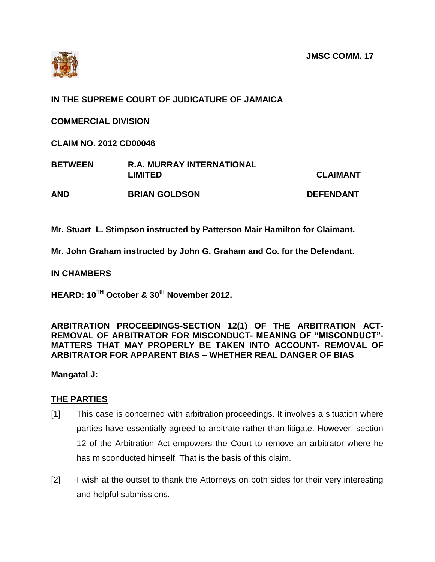

## **IN THE SUPREME COURT OF JUDICATURE OF JAMAICA**

**COMMERCIAL DIVISION**

**CLAIM NO. 2012 CD00046**

| <b>BETWEEN</b> | <b>R.A. MURRAY INTERNATIONAL</b><br><b>LIMITED</b> | <b>CLAIMANT</b>  |
|----------------|----------------------------------------------------|------------------|
| <b>AND</b>     | <b>BRIAN GOLDSON</b>                               | <b>DEFENDANT</b> |

**Mr. Stuart L. Stimpson instructed by Patterson Mair Hamilton for Claimant.**

**Mr. John Graham instructed by John G. Graham and Co. for the Defendant.**

**IN CHAMBERS**

**HEARD: 10TH October & 30th November 2012.**

## **ARBITRATION PROCEEDINGS-SECTION 12(1) OF THE ARBITRATION ACT-REMOVAL OF ARBITRATOR FOR MISCONDUCT- MEANING OF "MISCONDUCT"- MATTERS THAT MAY PROPERLY BE TAKEN INTO ACCOUNT- REMOVAL OF ARBITRATOR FOR APPARENT BIAS – WHETHER REAL DANGER OF BIAS**

**Mangatal J:**

## **THE PARTIES**

- [1] This case is concerned with arbitration proceedings. It involves a situation where parties have essentially agreed to arbitrate rather than litigate. However, section 12 of the Arbitration Act empowers the Court to remove an arbitrator where he has misconducted himself. That is the basis of this claim.
- [2] I wish at the outset to thank the Attorneys on both sides for their very interesting and helpful submissions.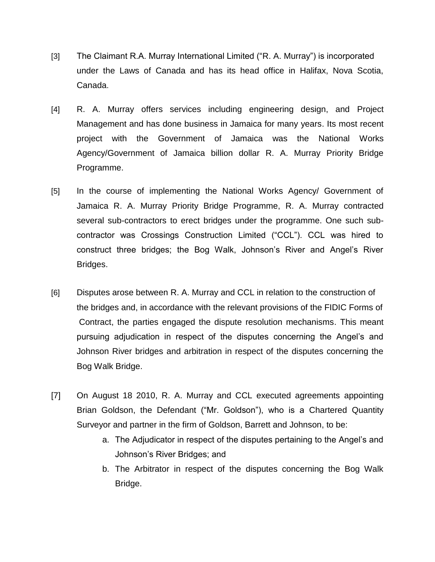- [3] The Claimant R.A. Murray International Limited ("R. A. Murray") is incorporated under the Laws of Canada and has its head office in Halifax, Nova Scotia, Canada.
- [4] R. A. Murray offers services including engineering design, and Project Management and has done business in Jamaica for many years. Its most recent project with the Government of Jamaica was the National Works Agency/Government of Jamaica billion dollar R. A. Murray Priority Bridge Programme.
- [5] In the course of implementing the National Works Agency/ Government of Jamaica R. A. Murray Priority Bridge Programme, R. A. Murray contracted several sub-contractors to erect bridges under the programme. One such subcontractor was Crossings Construction Limited ("CCL"). CCL was hired to construct three bridges; the Bog Walk, Johnson's River and Angel's River Bridges.
- [6] Disputes arose between R. A. Murray and CCL in relation to the construction of the bridges and, in accordance with the relevant provisions of the FIDIC Forms of Contract, the parties engaged the dispute resolution mechanisms. This meant pursuing adjudication in respect of the disputes concerning the Angel's and Johnson River bridges and arbitration in respect of the disputes concerning the Bog Walk Bridge.
- [7] On August 18 2010, R. A. Murray and CCL executed agreements appointing Brian Goldson, the Defendant ("Mr. Goldson"), who is a Chartered Quantity Surveyor and partner in the firm of Goldson, Barrett and Johnson, to be:
	- a. The Adjudicator in respect of the disputes pertaining to the Angel's and Johnson's River Bridges; and
	- b. The Arbitrator in respect of the disputes concerning the Bog Walk Bridge.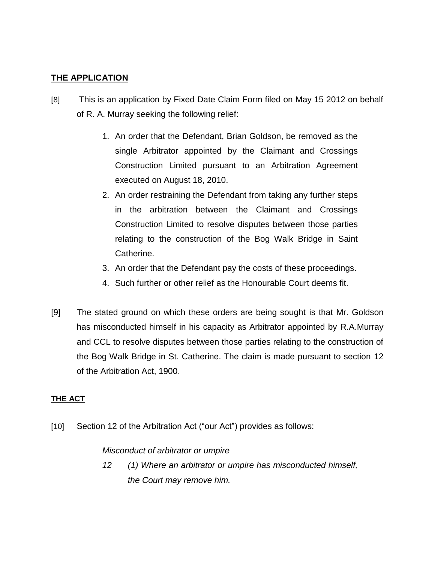## **THE APPLICATION**

- [8] This is an application by Fixed Date Claim Form filed on May 15 2012 on behalf of R. A. Murray seeking the following relief:
	- 1. An order that the Defendant, Brian Goldson, be removed as the single Arbitrator appointed by the Claimant and Crossings Construction Limited pursuant to an Arbitration Agreement executed on August 18, 2010.
	- 2. An order restraining the Defendant from taking any further steps in the arbitration between the Claimant and Crossings Construction Limited to resolve disputes between those parties relating to the construction of the Bog Walk Bridge in Saint Catherine.
	- 3. An order that the Defendant pay the costs of these proceedings.
	- 4. Such further or other relief as the Honourable Court deems fit.
- [9] The stated ground on which these orders are being sought is that Mr. Goldson has misconducted himself in his capacity as Arbitrator appointed by R.A.Murray and CCL to resolve disputes between those parties relating to the construction of the Bog Walk Bridge in St. Catherine. The claim is made pursuant to section 12 of the Arbitration Act, 1900.

## **THE ACT**

[10] Section 12 of the Arbitration Act ("our Act") provides as follows:

## *Misconduct of arbitrator or umpire*

*12 (1) Where an arbitrator or umpire has misconducted himself, the Court may remove him.*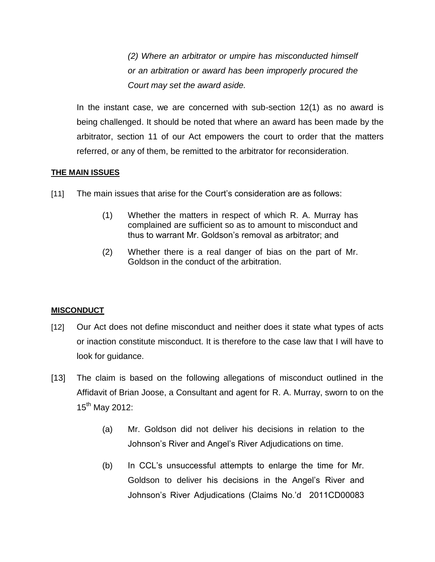*(2) Where an arbitrator or umpire has misconducted himself or an arbitration or award has been improperly procured the Court may set the award aside.*

In the instant case, we are concerned with sub-section 12(1) as no award is being challenged. It should be noted that where an award has been made by the arbitrator, section 11 of our Act empowers the court to order that the matters referred, or any of them, be remitted to the arbitrator for reconsideration.

## **THE MAIN ISSUES**

- [11] The main issues that arise for the Court's consideration are as follows:
	- (1) Whether the matters in respect of which R. A. Murray has complained are sufficient so as to amount to misconduct and thus to warrant Mr. Goldson's removal as arbitrator; and
	- (2) Whether there is a real danger of bias on the part of Mr. Goldson in the conduct of the arbitration.

## **MISCONDUCT**

- [12] Our Act does not define misconduct and neither does it state what types of acts or inaction constitute misconduct. It is therefore to the case law that I will have to look for guidance.
- [13] The claim is based on the following allegations of misconduct outlined in the Affidavit of Brian Joose, a Consultant and agent for R. A. Murray, sworn to on the 15<sup>th</sup> May 2012:
	- (a) Mr. Goldson did not deliver his decisions in relation to the Johnson's River and Angel's River Adjudications on time.
	- (b) In CCL's unsuccessful attempts to enlarge the time for Mr. Goldson to deliver his decisions in the Angel's River and Johnson's River Adjudications (Claims No.'d 2011CD00083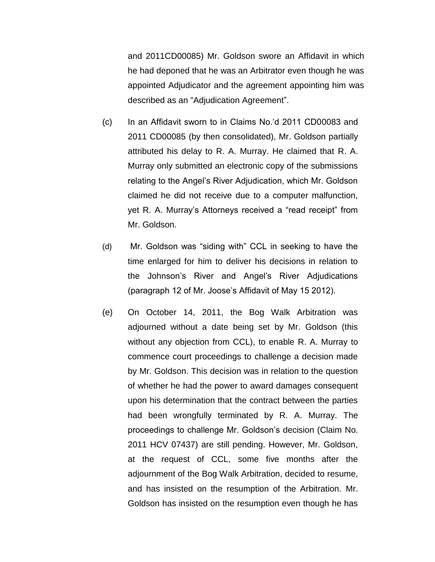and 2011CD00085) Mr. Goldson swore an Affidavit in which he had deponed that he was an Arbitrator even though he was appointed Adjudicator and the agreement appointing him was described as an "Adjudication Agreement".

- (c) In an Affidavit sworn to in Claims No.'d 2011 CD00083 and 2011 CD00085 (by then consolidated), Mr. Goldson partially attributed his delay to R. A. Murray. He claimed that R. A. Murray only submitted an electronic copy of the submissions relating to the Angel's River Adjudication, which Mr. Goldson claimed he did not receive due to a computer malfunction, yet R. A. Murray's Attorneys received a "read receipt" from Mr. Goldson.
- (d) Mr. Goldson was "siding with" CCL in seeking to have the time enlarged for him to deliver his decisions in relation to the Johnson's River and Angel's River Adjudications (paragraph 12 of Mr. Joose's Affidavit of May 15 2012).
- (e) On October 14, 2011, the Bog Walk Arbitration was adjourned without a date being set by Mr. Goldson (this without any objection from CCL), to enable R. A. Murray to commence court proceedings to challenge a decision made by Mr. Goldson. This decision was in relation to the question of whether he had the power to award damages consequent upon his determination that the contract between the parties had been wrongfully terminated by R. A. Murray. The proceedings to challenge Mr. Goldson's decision (Claim No. 2011 HCV 07437) are still pending. However, Mr. Goldson, at the request of CCL, some five months after the adjournment of the Bog Walk Arbitration, decided to resume, and has insisted on the resumption of the Arbitration. Mr. Goldson has insisted on the resumption even though he has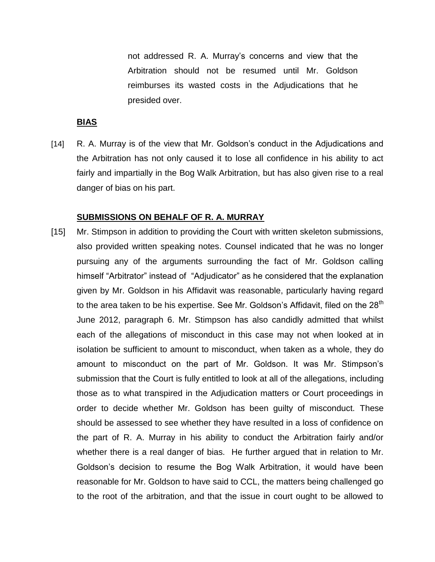not addressed R. A. Murray's concerns and view that the Arbitration should not be resumed until Mr. Goldson reimburses its wasted costs in the Adjudications that he presided over.

### **BIAS**

[14] R. A. Murray is of the view that Mr. Goldson's conduct in the Adjudications and the Arbitration has not only caused it to lose all confidence in his ability to act fairly and impartially in the Bog Walk Arbitration, but has also given rise to a real danger of bias on his part.

### **SUBMISSIONS ON BEHALF OF R. A. MURRAY**

[15] Mr. Stimpson in addition to providing the Court with written skeleton submissions, also provided written speaking notes. Counsel indicated that he was no longer pursuing any of the arguments surrounding the fact of Mr. Goldson calling himself "Arbitrator" instead of "Adjudicator" as he considered that the explanation given by Mr. Goldson in his Affidavit was reasonable, particularly having regard to the area taken to be his expertise. See Mr. Goldson's Affidavit, filed on the 28<sup>th</sup> June 2012, paragraph 6. Mr. Stimpson has also candidly admitted that whilst each of the allegations of misconduct in this case may not when looked at in isolation be sufficient to amount to misconduct, when taken as a whole, they do amount to misconduct on the part of Mr. Goldson. It was Mr. Stimpson's submission that the Court is fully entitled to look at all of the allegations, including those as to what transpired in the Adjudication matters or Court proceedings in order to decide whether Mr. Goldson has been guilty of misconduct. These should be assessed to see whether they have resulted in a loss of confidence on the part of R. A. Murray in his ability to conduct the Arbitration fairly and/or whether there is a real danger of bias. He further argued that in relation to Mr. Goldson's decision to resume the Bog Walk Arbitration, it would have been reasonable for Mr. Goldson to have said to CCL, the matters being challenged go to the root of the arbitration, and that the issue in court ought to be allowed to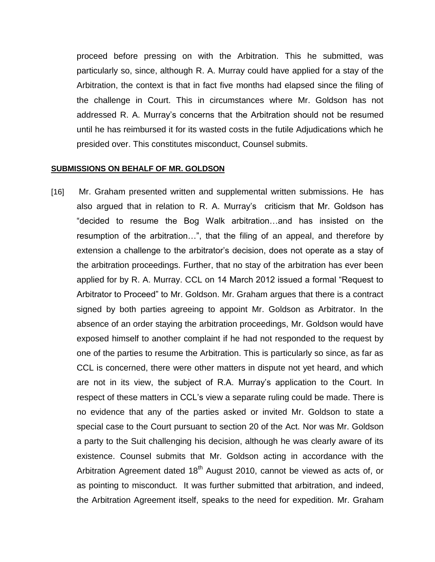proceed before pressing on with the Arbitration. This he submitted, was particularly so, since, although R. A. Murray could have applied for a stay of the Arbitration, the context is that in fact five months had elapsed since the filing of the challenge in Court. This in circumstances where Mr. Goldson has not addressed R. A. Murray's concerns that the Arbitration should not be resumed until he has reimbursed it for its wasted costs in the futile Adjudications which he presided over. This constitutes misconduct, Counsel submits.

#### **SUBMISSIONS ON BEHALF OF MR. GOLDSON**

[16] Mr. Graham presented written and supplemental written submissions. He has also argued that in relation to R. A. Murray's criticism that Mr. Goldson has "decided to resume the Bog Walk arbitration…and has insisted on the resumption of the arbitration…", that the filing of an appeal, and therefore by extension a challenge to the arbitrator's decision, does not operate as a stay of the arbitration proceedings. Further, that no stay of the arbitration has ever been applied for by R. A. Murray. CCL on 14 March 2012 issued a formal "Request to Arbitrator to Proceed" to Mr. Goldson. Mr. Graham argues that there is a contract signed by both parties agreeing to appoint Mr. Goldson as Arbitrator. In the absence of an order staying the arbitration proceedings, Mr. Goldson would have exposed himself to another complaint if he had not responded to the request by one of the parties to resume the Arbitration. This is particularly so since, as far as CCL is concerned, there were other matters in dispute not yet heard, and which are not in its view, the subject of R.A. Murray's application to the Court. In respect of these matters in CCL's view a separate ruling could be made. There is no evidence that any of the parties asked or invited Mr. Goldson to state a special case to the Court pursuant to section 20 of the Act. Nor was Mr. Goldson a party to the Suit challenging his decision, although he was clearly aware of its existence. Counsel submits that Mr. Goldson acting in accordance with the Arbitration Agreement dated  $18<sup>th</sup>$  August 2010, cannot be viewed as acts of, or as pointing to misconduct. It was further submitted that arbitration, and indeed, the Arbitration Agreement itself, speaks to the need for expedition. Mr. Graham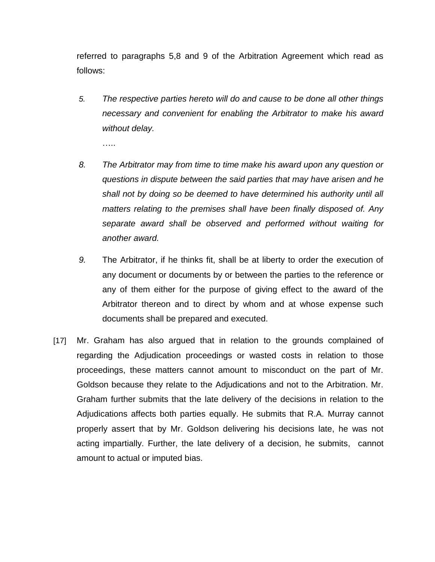referred to paragraphs 5,8 and 9 of the Arbitration Agreement which read as follows:

*5. The respective parties hereto will do and cause to be done all other things necessary and convenient for enabling the Arbitrator to make his award without delay.*

….<br>……

- *8. The Arbitrator may from time to time make his award upon any question or questions in dispute between the said parties that may have arisen and he shall not by doing so be deemed to have determined his authority until all matters relating to the premises shall have been finally disposed of. Any separate award shall be observed and performed without waiting for another award.*
- *9.* The Arbitrator, if he thinks fit, shall be at liberty to order the execution of any document or documents by or between the parties to the reference or any of them either for the purpose of giving effect to the award of the Arbitrator thereon and to direct by whom and at whose expense such documents shall be prepared and executed.
- [17] Mr. Graham has also argued that in relation to the grounds complained of regarding the Adjudication proceedings or wasted costs in relation to those proceedings, these matters cannot amount to misconduct on the part of Mr. Goldson because they relate to the Adjudications and not to the Arbitration. Mr. Graham further submits that the late delivery of the decisions in relation to the Adjudications affects both parties equally. He submits that R.A. Murray cannot properly assert that by Mr. Goldson delivering his decisions late, he was not acting impartially. Further, the late delivery of a decision, he submits, cannot amount to actual or imputed bias.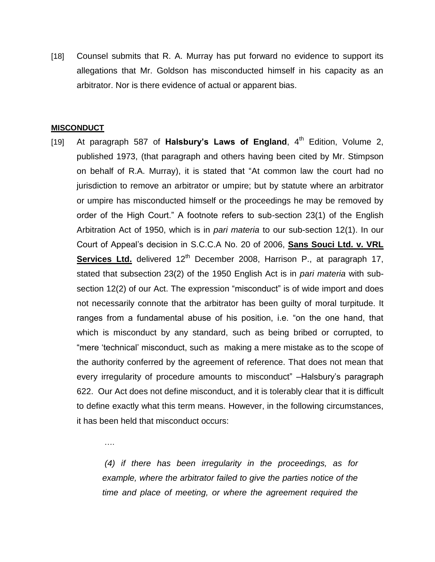[18] Counsel submits that R. A. Murray has put forward no evidence to support its allegations that Mr. Goldson has misconducted himself in his capacity as an arbitrator. Nor is there evidence of actual or apparent bias.

#### **MISCONDUCT**

….

[19] At paragraph 587 of Halsbury's Laws of England, 4<sup>th</sup> Edition, Volume 2, published 1973, (that paragraph and others having been cited by Mr. Stimpson on behalf of R.A. Murray), it is stated that "At common law the court had no jurisdiction to remove an arbitrator or umpire; but by statute where an arbitrator or umpire has misconducted himself or the proceedings he may be removed by order of the High Court." A footnote refers to sub-section 23(1) of the English Arbitration Act of 1950, which is in *pari materia* to our sub-section 12(1). In our Court of Appeal's decision in S.C.C.A No. 20 of 2006, **Sans Souci Ltd. v. VRL Services Ltd.** delivered 12<sup>th</sup> December 2008, Harrison P., at paragraph 17, stated that subsection 23(2) of the 1950 English Act is in *pari materia* with subsection 12(2) of our Act. The expression "misconduct" is of wide import and does not necessarily connote that the arbitrator has been guilty of moral turpitude. It ranges from a fundamental abuse of his position, i.e. "on the one hand, that which is misconduct by any standard, such as being bribed or corrupted, to "mere 'technical' misconduct, such as making a mere mistake as to the scope of the authority conferred by the agreement of reference. That does not mean that every irregularity of procedure amounts to misconduct" –Halsbury's paragraph 622. Our Act does not define misconduct, and it is tolerably clear that it is difficult to define exactly what this term means. However, in the following circumstances, it has been held that misconduct occurs:

> *(4) if there has been irregularity in the proceedings, as for example, where the arbitrator failed to give the parties notice of the time and place of meeting, or where the agreement required the*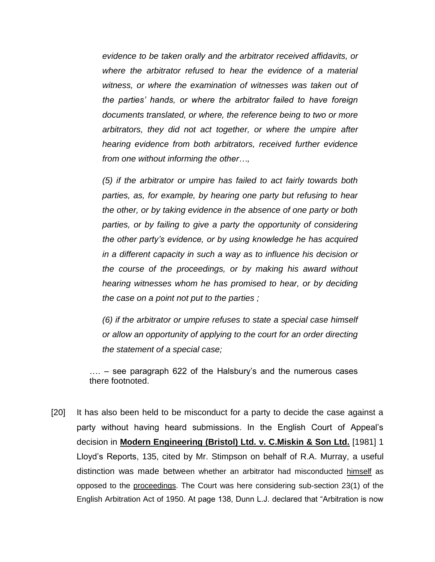*evidence to be taken orally and the arbitrator received affidavits, or where the arbitrator refused to hear the evidence of a material witness, or where the examination of witnesses was taken out of the parties' hands, or where the arbitrator failed to have foreign documents translated, or where, the reference being to two or more arbitrators, they did not act together, or where the umpire after hearing evidence from both arbitrators, received further evidence from one without informing the other…,*

*(5) if the arbitrator or umpire has failed to act fairly towards both parties, as, for example, by hearing one party but refusing to hear the other, or by taking evidence in the absence of one party or both parties, or by failing to give a party the opportunity of considering the other party's evidence, or by using knowledge he has acquired in a different capacity in such a way as to influence his decision or the course of the proceedings, or by making his award without hearing witnesses whom he has promised to hear, or by deciding the case on a point not put to the parties ;*

*(6) if the arbitrator or umpire refuses to state a special case himself or allow an opportunity of applying to the court for an order directing the statement of a special case;*

…. – see paragraph 622 of the Halsbury's and the numerous cases there footnoted.

[20] It has also been held to be misconduct for a party to decide the case against a party without having heard submissions. In the English Court of Appeal's decision in **Modern Engineering (Bristol) Ltd. v. C.Miskin & Son Ltd.** [1981] 1 Lloyd's Reports, 135, cited by Mr. Stimpson on behalf of R.A. Murray, a useful distinction was made between whether an arbitrator had misconducted himself as opposed to the proceedings. The Court was here considering sub-section 23(1) of the English Arbitration Act of 1950. At page 138, Dunn L.J. declared that "Arbitration is now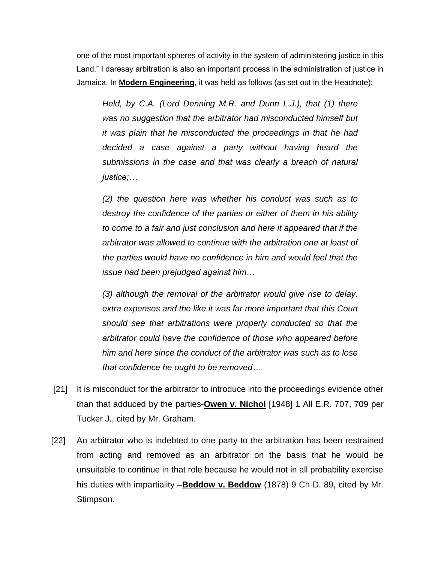one of the most important spheres of activity in the system of administering justice in this Land." I daresay arbitration is also an important process in the administration of justice in Jamaica. In **Modern Engineering**, it was held as follows (as set out in the Headnote):

*Held, by C.A. (Lord Denning M.R. and Dunn L.J.), that (1) there was no suggestion that the arbitrator had misconducted himself but it was plain that he misconducted the proceedings in that he had decided a case against a party without having heard the submissions in the case and that was clearly a breach of natural justice;…*

*(2) the question here was whether his conduct was such as to destroy the confidence of the parties or either of them in his ability to come to a fair and just conclusion and here it appeared that if the arbitrator was allowed to continue with the arbitration one at least of the parties would have no confidence in him and would feel that the issue had been prejudged against him…* 

*(3) although the removal of the arbitrator would give rise to delay, extra expenses and the like it was far more important that this Court should see that arbitrations were properly conducted so that the arbitrator could have the confidence of those who appeared before him and here since the conduct of the arbitrator was such as to lose that confidence he ought to be removed…*

- [21] It is misconduct for the arbitrator to introduce into the proceedings evidence other than that adduced by the parties-**Owen v. Nichol** [1948] 1 All E.R. 707, 709 per Tucker J., cited by Mr. Graham.
- [22] An arbitrator who is indebted to one party to the arbitration has been restrained from acting and removed as an arbitrator on the basis that he would be unsuitable to continue in that role because he would not in all probability exercise his duties with impartiality –**Beddow v. Beddow** (1878) 9 Ch D. 89, cited by Mr. Stimpson.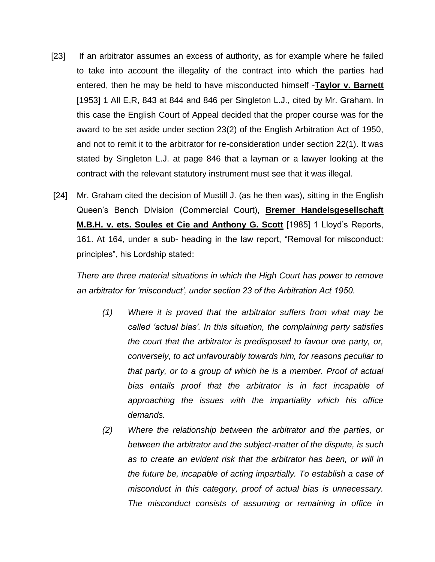- [23] If an arbitrator assumes an excess of authority, as for example where he failed to take into account the illegality of the contract into which the parties had entered, then he may be held to have misconducted himself -**Taylor v. Barnett** [1953] 1 All E,R, 843 at 844 and 846 per Singleton L.J., cited by Mr. Graham. In this case the English Court of Appeal decided that the proper course was for the award to be set aside under section 23(2) of the English Arbitration Act of 1950, and not to remit it to the arbitrator for re-consideration under section 22(1). It was stated by Singleton L.J. at page 846 that a layman or a lawyer looking at the contract with the relevant statutory instrument must see that it was illegal.
- [24] Mr. Graham cited the decision of Mustill J. (as he then was), sitting in the English Queen's Bench Division (Commercial Court), **Bremer Handelsgesellschaft M.B.H. v. ets. Soules et Cie and Anthony G. Scott** [1985] 1 Lloyd's Reports, 161. At 164, under a sub- heading in the law report, "Removal for misconduct: principles", his Lordship stated:

*There are three material situations in which the High Court has power to remove an arbitrator for 'misconduct', under section 23 of the Arbitration Act 1950.* 

- *(1) Where it is proved that the arbitrator suffers from what may be called 'actual bias'. In this situation, the complaining party satisfies the court that the arbitrator is predisposed to favour one party, or, conversely, to act unfavourably towards him, for reasons peculiar to that party, or to a group of which he is a member. Proof of actual bias entails proof that the arbitrator is in fact incapable of approaching the issues with the impartiality which his office demands.*
- *(2) Where the relationship between the arbitrator and the parties, or between the arbitrator and the subject-matter of the dispute, is such as to create an evident risk that the arbitrator has been, or will in the future be, incapable of acting impartially. To establish a case of misconduct in this category, proof of actual bias is unnecessary. The misconduct consists of assuming or remaining in office in*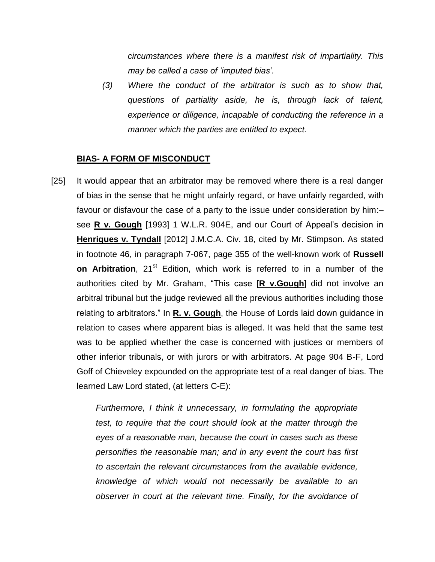*circumstances where there is a manifest risk of impartiality. This may be called a case of 'imputed bias'.* 

*(3) Where the conduct of the arbitrator is such as to show that, questions of partiality aside, he is, through lack of talent, experience or diligence, incapable of conducting the reference in a manner which the parties are entitled to expect.*

### **BIAS- A FORM OF MISCONDUCT**

[25] It would appear that an arbitrator may be removed where there is a real danger of bias in the sense that he might unfairly regard, or have unfairly regarded, with favour or disfavour the case of a party to the issue under consideration by him:– see **R v. Gough** [1993] 1 W.L.R. 904E, and our Court of Appeal's decision in **Henriques v. Tyndall** [2012] J.M.C.A. Civ. 18, cited by Mr. Stimpson. As stated in footnote 46, in paragraph 7-067, page 355 of the well-known work of **Russell on Arbitration**, 21<sup>st</sup> Edition, which work is referred to in a number of the authorities cited by Mr. Graham, "This case [**R v.Gough**] did not involve an arbitral tribunal but the judge reviewed all the previous authorities including those relating to arbitrators." In **R. v. Gough**, the House of Lords laid down guidance in relation to cases where apparent bias is alleged. It was held that the same test was to be applied whether the case is concerned with justices or members of other inferior tribunals, or with jurors or with arbitrators. At page 904 B-F, Lord Goff of Chieveley expounded on the appropriate test of a real danger of bias. The learned Law Lord stated, (at letters C-E):

> *Furthermore, I think it unnecessary, in formulating the appropriate test, to require that the court should look at the matter through the eyes of a reasonable man, because the court in cases such as these personifies the reasonable man; and in any event the court has first to ascertain the relevant circumstances from the available evidence, knowledge of which would not necessarily be available to an observer in court at the relevant time. Finally, for the avoidance of*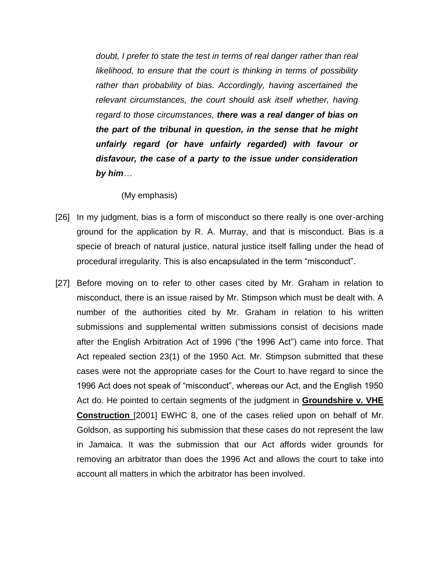*doubt, I prefer to state the test in terms of real danger rather than real likelihood, to ensure that the court is thinking in terms of possibility rather than probability of bias. Accordingly, having ascertained the relevant circumstances, the court should ask itself whether, having regard to those circumstances, there was a real danger of bias on the part of the tribunal in question, in the sense that he might unfairly regard (or have unfairly regarded) with favour or disfavour, the case of a party to the issue under consideration by him…*

### (My emphasis)

- [26] In my judgment, bias is a form of misconduct so there really is one over-arching ground for the application by R. A. Murray, and that is misconduct. Bias is a specie of breach of natural justice, natural justice itself falling under the head of procedural irregularity. This is also encapsulated in the term "misconduct".
- [27] Before moving on to refer to other cases cited by Mr. Graham in relation to misconduct, there is an issue raised by Mr. Stimpson which must be dealt with. A number of the authorities cited by Mr. Graham in relation to his written submissions and supplemental written submissions consist of decisions made after the English Arbitration Act of 1996 ("the 1996 Act") came into force. That Act repealed section 23(1) of the 1950 Act. Mr. Stimpson submitted that these cases were not the appropriate cases for the Court to have regard to since the 1996 Act does not speak of "misconduct", whereas our Act, and the English 1950 Act do. He pointed to certain segments of the judgment in **Groundshire v. VHE Construction** [2001] EWHC 8, one of the cases relied upon on behalf of Mr. Goldson, as supporting his submission that these cases do not represent the law in Jamaica. It was the submission that our Act affords wider grounds for removing an arbitrator than does the 1996 Act and allows the court to take into account all matters in which the arbitrator has been involved.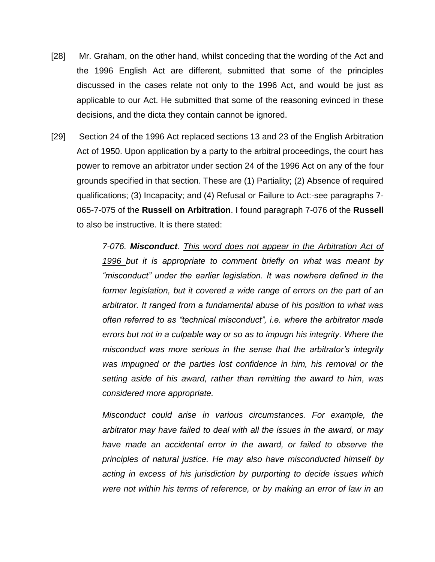- [28] Mr. Graham, on the other hand, whilst conceding that the wording of the Act and the 1996 English Act are different, submitted that some of the principles discussed in the cases relate not only to the 1996 Act, and would be just as applicable to our Act. He submitted that some of the reasoning evinced in these decisions, and the dicta they contain cannot be ignored.
- [29] Section 24 of the 1996 Act replaced sections 13 and 23 of the English Arbitration Act of 1950. Upon application by a party to the arbitral proceedings, the court has power to remove an arbitrator under section 24 of the 1996 Act on any of the four grounds specified in that section. These are (1) Partiality; (2) Absence of required qualifications; (3) Incapacity; and (4) Refusal or Failure to Act:-see paragraphs 7- 065-7-075 of the **Russell on Arbitration**. I found paragraph 7-076 of the **Russell**  to also be instructive. It is there stated:

*7-076. Misconduct. This word does not appear in the Arbitration Act of 1996 but it is appropriate to comment briefly on what was meant by "misconduct" under the earlier legislation. It was nowhere defined in the former legislation, but it covered a wide range of errors on the part of an arbitrator. It ranged from a fundamental abuse of his position to what was often referred to as "technical misconduct", i.e. where the arbitrator made errors but not in a culpable way or so as to impugn his integrity. Where the misconduct was more serious in the sense that the arbitrator's integrity was impugned or the parties lost confidence in him, his removal or the setting aside of his award, rather than remitting the award to him, was considered more appropriate.*

*Misconduct could arise in various circumstances. For example, the arbitrator may have failed to deal with all the issues in the award, or may have made an accidental error in the award, or failed to observe the principles of natural justice. He may also have misconducted himself by acting in excess of his jurisdiction by purporting to decide issues which were not within his terms of reference, or by making an error of law in an*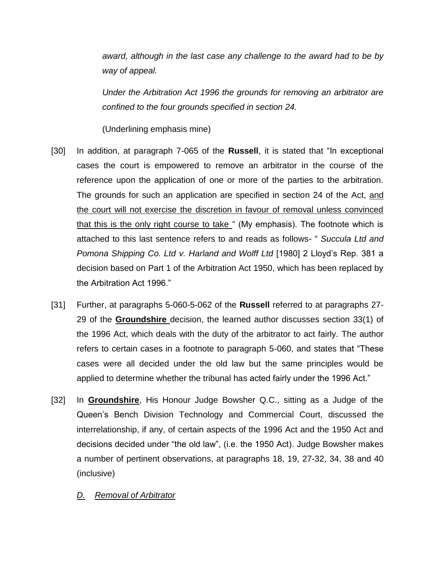*award, although in the last case any challenge to the award had to be by way of appeal.* 

*Under the Arbitration Act 1996 the grounds for removing an arbitrator are confined to the four grounds specified in section 24.*

(Underlining emphasis mine)

- [30] In addition, at paragraph 7-065 of the **Russell**, it is stated that "In exceptional cases the court is empowered to remove an arbitrator in the course of the reference upon the application of one or more of the parties to the arbitration. The grounds for such an application are specified in section 24 of the Act, and the court will not exercise the discretion in favour of removal unless convinced that this is the only right course to take " (My emphasis). The footnote which is attached to this last sentence refers to and reads as follows- " *Succula Ltd and Pomona Shipping Co. Ltd v. Harland and Wolff Ltd* [1980] 2 Lloyd's Rep. 381 a decision based on Part 1 of the Arbitration Act 1950, which has been replaced by the Arbitration Act 1996."
- [31] Further, at paragraphs 5-060-5-062 of the **Russell** referred to at paragraphs 27- 29 of the **Groundshire** decision, the learned author discusses section 33(1) of the 1996 Act, which deals with the duty of the arbitrator to act fairly. The author refers to certain cases in a footnote to paragraph 5-060, and states that "These cases were all decided under the old law but the same principles would be applied to determine whether the tribunal has acted fairly under the 1996 Act."
- [32] In **Groundshire**, His Honour Judge Bowsher Q.C., sitting as a Judge of the Queen's Bench Division Technology and Commercial Court, discussed the interrelationship, if any, of certain aspects of the 1996 Act and the 1950 Act and decisions decided under "the old law", (i.e. the 1950 Act). Judge Bowsher makes a number of pertinent observations, at paragraphs 18, 19, 27-32, 34, 38 and 40 (inclusive)

## *D. Removal of Arbitrator*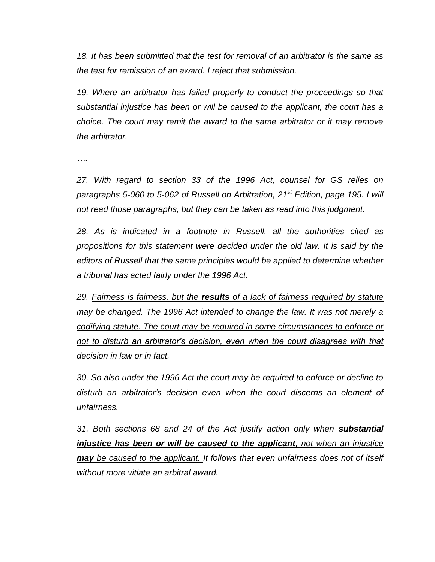*18. It has been submitted that the test for removal of an arbitrator is the same as the test for remission of an award. I reject that submission.*

19. Where an arbitrator has failed properly to conduct the proceedings so that *substantial injustice has been or will be caused to the applicant, the court has a choice. The court may remit the award to the same arbitrator or it may remove the arbitrator.*

*….*

*27. With regard to section 33 of the 1996 Act, counsel for GS relies on paragraphs 5-060 to 5-062 of Russell on Arbitration, 21st Edition, page 195. I will not read those paragraphs, but they can be taken as read into this judgment.*

*28. As is indicated in a footnote in Russell, all the authorities cited as propositions for this statement were decided under the old law. It is said by the editors of Russell that the same principles would be applied to determine whether a tribunal has acted fairly under the 1996 Act.*

*29. Fairness is fairness, but the results of a lack of fairness required by statute may be changed. The 1996 Act intended to change the law. It was not merely a codifying statute. The court may be required in some circumstances to enforce or not to disturb an arbitrator's decision, even when the court disagrees with that decision in law or in fact.*

*30. So also under the 1996 Act the court may be required to enforce or decline to disturb an arbitrator's decision even when the court discerns an element of unfairness.*

*31. Both sections 68 and 24 of the Act justify action only when substantial injustice has been or will be caused to the applicant, not when an injustice may be caused to the applicant. It follows that even unfairness does not of itself without more vitiate an arbitral award.*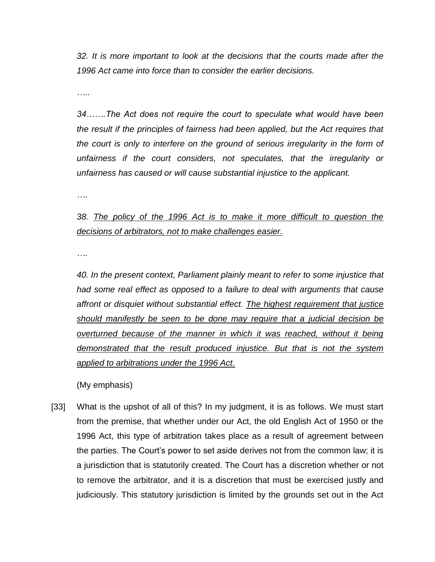*32. It is more important to look at the decisions that the courts made after the 1996 Act came into force than to consider the earlier decisions.*

*…..*

*34…….The Act does not require the court to speculate what would have been the result if the principles of fairness had been applied, but the Act requires that the court is only to interfere on the ground of serious irregularity in the form of unfairness if the court considers, not speculates, that the irregularity or unfairness has caused or will cause substantial injustice to the applicant.* 

*….*

# *38. The policy of the 1996 Act is to make it more difficult to question the decisions of arbitrators, not to make challenges easier.*

*….*

*40. In the present context, Parliament plainly meant to refer to some injustice that had some real effect as opposed to a failure to deal with arguments that cause affront or disquiet without substantial effect. The highest requirement that justice should manifestly be seen to be done may require that a judicial decision be overturned because of the manner in which it was reached, without it being demonstrated that the result produced injustice. But that is not the system applied to arbitrations under the 1996 Act.*

(My emphasis)

[33] What is the upshot of all of this? In my judgment, it is as follows. We must start from the premise, that whether under our Act, the old English Act of 1950 or the 1996 Act, this type of arbitration takes place as a result of agreement between the parties. The Court's power to set aside derives not from the common law; it is a jurisdiction that is statutorily created. The Court has a discretion whether or not to remove the arbitrator, and it is a discretion that must be exercised justly and judiciously. This statutory jurisdiction is limited by the grounds set out in the Act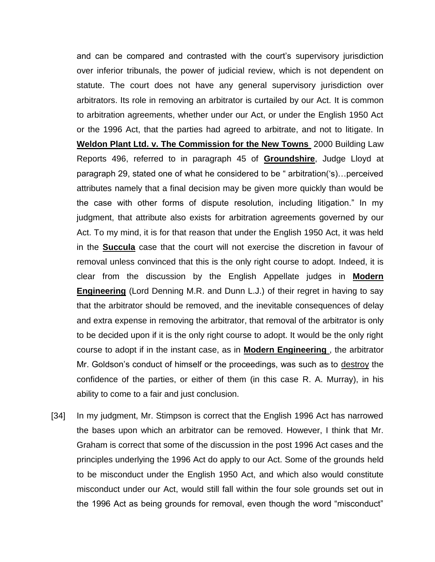and can be compared and contrasted with the court's supervisory jurisdiction over inferior tribunals, the power of judicial review, which is not dependent on statute. The court does not have any general supervisory jurisdiction over arbitrators. Its role in removing an arbitrator is curtailed by our Act. It is common to arbitration agreements, whether under our Act, or under the English 1950 Act or the 1996 Act, that the parties had agreed to arbitrate, and not to litigate. In **Weldon Plant Ltd. v. The Commission for the New Towns** 2000 Building Law Reports 496, referred to in paragraph 45 of **Groundshire**, Judge Lloyd at paragraph 29, stated one of what he considered to be " arbitration('s)…perceived attributes namely that a final decision may be given more quickly than would be the case with other forms of dispute resolution, including litigation." In my judgment, that attribute also exists for arbitration agreements governed by our Act. To my mind, it is for that reason that under the English 1950 Act, it was held in the **Succula** case that the court will not exercise the discretion in favour of removal unless convinced that this is the only right course to adopt. Indeed, it is clear from the discussion by the English Appellate judges in **Modern Engineering** (Lord Denning M.R. and Dunn L.J.) of their regret in having to say that the arbitrator should be removed, and the inevitable consequences of delay and extra expense in removing the arbitrator, that removal of the arbitrator is only to be decided upon if it is the only right course to adopt. It would be the only right course to adopt if in the instant case, as in **Modern Engineering** , the arbitrator Mr. Goldson's conduct of himself or the proceedings, was such as to destroy the confidence of the parties, or either of them (in this case R. A. Murray), in his ability to come to a fair and just conclusion.

[34] In my judgment, Mr. Stimpson is correct that the English 1996 Act has narrowed the bases upon which an arbitrator can be removed. However, I think that Mr. Graham is correct that some of the discussion in the post 1996 Act cases and the principles underlying the 1996 Act do apply to our Act. Some of the grounds held to be misconduct under the English 1950 Act, and which also would constitute misconduct under our Act, would still fall within the four sole grounds set out in the 1996 Act as being grounds for removal, even though the word "misconduct"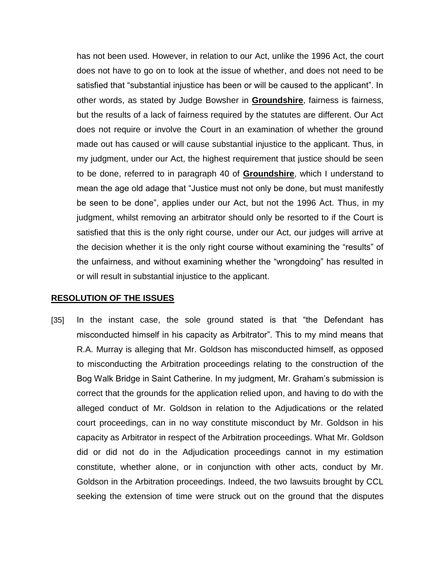has not been used. However, in relation to our Act, unlike the 1996 Act, the court does not have to go on to look at the issue of whether, and does not need to be satisfied that "substantial injustice has been or will be caused to the applicant". In other words, as stated by Judge Bowsher in **Groundshire**, fairness is fairness, but the results of a lack of fairness required by the statutes are different. Our Act does not require or involve the Court in an examination of whether the ground made out has caused or will cause substantial injustice to the applicant. Thus, in my judgment, under our Act, the highest requirement that justice should be seen to be done, referred to in paragraph 40 of **Groundshire**, which I understand to mean the age old adage that "Justice must not only be done, but must manifestly be seen to be done", applies under our Act, but not the 1996 Act. Thus, in my judgment, whilst removing an arbitrator should only be resorted to if the Court is satisfied that this is the only right course, under our Act, our judges will arrive at the decision whether it is the only right course without examining the "results" of the unfairness, and without examining whether the "wrongdoing" has resulted in or will result in substantial injustice to the applicant.

### **RESOLUTION OF THE ISSUES**

[35] In the instant case, the sole ground stated is that "the Defendant has misconducted himself in his capacity as Arbitrator". This to my mind means that R.A. Murray is alleging that Mr. Goldson has misconducted himself, as opposed to misconducting the Arbitration proceedings relating to the construction of the Bog Walk Bridge in Saint Catherine. In my judgment, Mr. Graham's submission is correct that the grounds for the application relied upon, and having to do with the alleged conduct of Mr. Goldson in relation to the Adjudications or the related court proceedings, can in no way constitute misconduct by Mr. Goldson in his capacity as Arbitrator in respect of the Arbitration proceedings. What Mr. Goldson did or did not do in the Adjudication proceedings cannot in my estimation constitute, whether alone, or in conjunction with other acts, conduct by Mr. Goldson in the Arbitration proceedings. Indeed, the two lawsuits brought by CCL seeking the extension of time were struck out on the ground that the disputes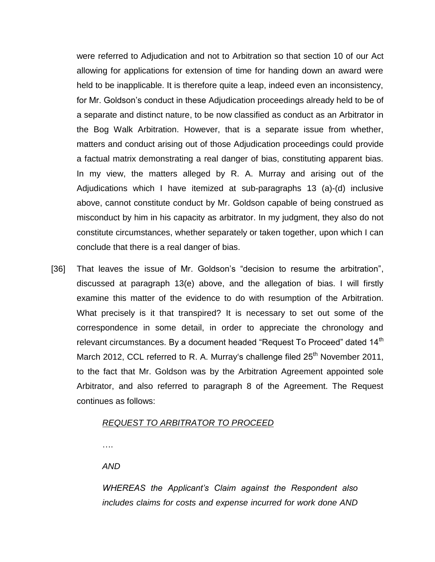were referred to Adjudication and not to Arbitration so that section 10 of our Act allowing for applications for extension of time for handing down an award were held to be inapplicable. It is therefore quite a leap, indeed even an inconsistency, for Mr. Goldson's conduct in these Adjudication proceedings already held to be of a separate and distinct nature, to be now classified as conduct as an Arbitrator in the Bog Walk Arbitration. However, that is a separate issue from whether, matters and conduct arising out of those Adjudication proceedings could provide a factual matrix demonstrating a real danger of bias, constituting apparent bias. In my view, the matters alleged by R. A. Murray and arising out of the Adjudications which I have itemized at sub-paragraphs 13 (a)-(d) inclusive above, cannot constitute conduct by Mr. Goldson capable of being construed as misconduct by him in his capacity as arbitrator. In my judgment, they also do not constitute circumstances, whether separately or taken together, upon which I can conclude that there is a real danger of bias.

[36] That leaves the issue of Mr. Goldson's "decision to resume the arbitration", discussed at paragraph 13(e) above, and the allegation of bias. I will firstly examine this matter of the evidence to do with resumption of the Arbitration. What precisely is it that transpired? It is necessary to set out some of the correspondence in some detail, in order to appreciate the chronology and relevant circumstances. By a document headed "Request To Proceed" dated 14<sup>th</sup> March 2012, CCL referred to R. A. Murray's challenge filed  $25<sup>th</sup>$  November 2011, to the fact that Mr. Goldson was by the Arbitration Agreement appointed sole Arbitrator, and also referred to paragraph 8 of the Agreement. The Request continues as follows:

### *REQUEST TO ARBITRATOR TO PROCEED*

….

*AND*

*WHEREAS the Applicant's Claim against the Respondent also includes claims for costs and expense incurred for work done AND*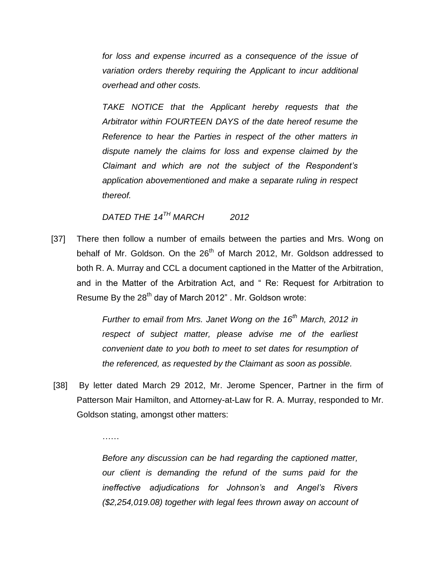*for loss and expense incurred as a consequence of the issue of variation orders thereby requiring the Applicant to incur additional overhead and other costs.*

*TAKE NOTICE that the Applicant hereby requests that the Arbitrator within FOURTEEN DAYS of the date hereof resume the Reference to hear the Parties in respect of the other matters in dispute namely the claims for loss and expense claimed by the Claimant and which are not the subject of the Respondent's application abovementioned and make a separate ruling in respect thereof.* 

# *DATED THE 14TH MARCH 2012*

……

[37] There then follow a number of emails between the parties and Mrs. Wong on behalf of Mr. Goldson. On the 26<sup>th</sup> of March 2012, Mr. Goldson addressed to both R. A. Murray and CCL a document captioned in the Matter of the Arbitration, and in the Matter of the Arbitration Act, and " Re: Request for Arbitration to Resume By the  $28<sup>th</sup>$  day of March 2012". Mr. Goldson wrote:

> *Further to email from Mrs. Janet Wong on the 16th March, 2012 in respect of subject matter, please advise me of the earliest convenient date to you both to meet to set dates for resumption of the referenced, as requested by the Claimant as soon as possible.*

[38] By letter dated March 29 2012, Mr. Jerome Spencer, Partner in the firm of Patterson Mair Hamilton, and Attorney-at-Law for R. A. Murray, responded to Mr. Goldson stating, amongst other matters:

> *Before any discussion can be had regarding the captioned matter, our client is demanding the refund of the sums paid for the ineffective adjudications for Johnson's and Angel's Rivers (\$2,254,019.08) together with legal fees thrown away on account of*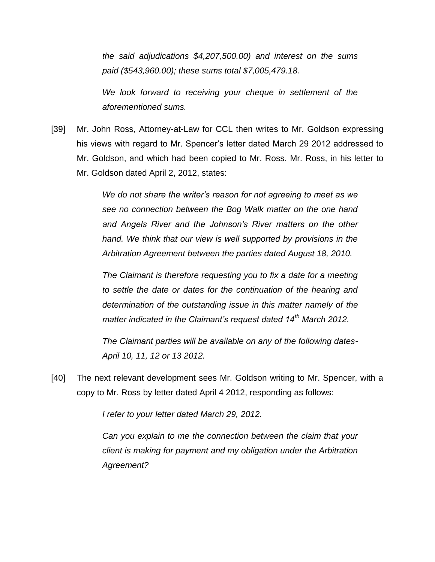*the said adjudications \$4,207,500.00) and interest on the sums paid (\$543,960.00); these sums total \$7,005,479.18.*

*We look forward to receiving your cheque in settlement of the aforementioned sums.* 

[39] Mr. John Ross, Attorney-at-Law for CCL then writes to Mr. Goldson expressing his views with regard to Mr. Spencer's letter dated March 29 2012 addressed to Mr. Goldson, and which had been copied to Mr. Ross. Mr. Ross, in his letter to Mr. Goldson dated April 2, 2012, states:

> *We do not share the writer's reason for not agreeing to meet as we see no connection between the Bog Walk matter on the one hand and Angels River and the Johnson's River matters on the other hand. We think that our view is well supported by provisions in the Arbitration Agreement between the parties dated August 18, 2010.*

> *The Claimant is therefore requesting you to fix a date for a meeting to settle the date or dates for the continuation of the hearing and determination of the outstanding issue in this matter namely of the matter indicated in the Claimant's request dated 14th March 2012.*

> *The Claimant parties will be available on any of the following dates-April 10, 11, 12 or 13 2012.*

[40] The next relevant development sees Mr. Goldson writing to Mr. Spencer, with a copy to Mr. Ross by letter dated April 4 2012, responding as follows:

*I refer to your letter dated March 29, 2012.* 

*Can you explain to me the connection between the claim that your client is making for payment and my obligation under the Arbitration Agreement?*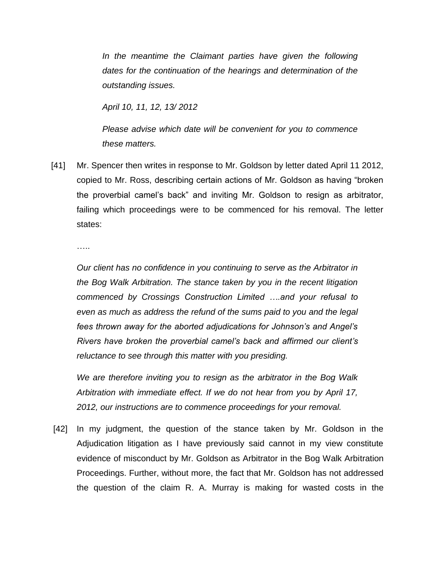In the meantime the Claimant parties have given the following *dates for the continuation of the hearings and determination of the outstanding issues.*

*April 10, 11, 12, 13/ 2012*

*Please advise which date will be convenient for you to commence these matters.*

[41] Mr. Spencer then writes in response to Mr. Goldson by letter dated April 11 2012, copied to Mr. Ross, describing certain actions of Mr. Goldson as having "broken the proverbial camel's back" and inviting Mr. Goldson to resign as arbitrator, failing which proceedings were to be commenced for his removal. The letter states:

….

*Our client has no confidence in you continuing to serve as the Arbitrator in the Bog Walk Arbitration. The stance taken by you in the recent litigation commenced by Crossings Construction Limited ….and your refusal to even as much as address the refund of the sums paid to you and the legal fees thrown away for the aborted adjudications for Johnson's and Angel's Rivers have broken the proverbial camel's back and affirmed our client's reluctance to see through this matter with you presiding.*

*We are therefore inviting you to resign as the arbitrator in the Bog Walk Arbitration with immediate effect. If we do not hear from you by April 17, 2012, our instructions are to commence proceedings for your removal.* 

[42] In my judgment, the question of the stance taken by Mr. Goldson in the Adjudication litigation as I have previously said cannot in my view constitute evidence of misconduct by Mr. Goldson as Arbitrator in the Bog Walk Arbitration Proceedings. Further, without more, the fact that Mr. Goldson has not addressed the question of the claim R. A. Murray is making for wasted costs in the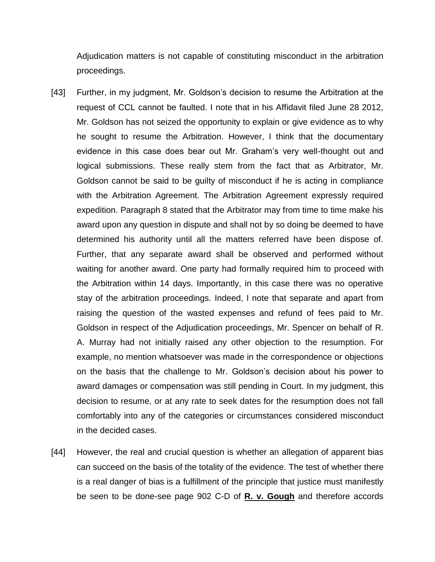Adjudication matters is not capable of constituting misconduct in the arbitration proceedings.

- [43] Further, in my judgment, Mr. Goldson's decision to resume the Arbitration at the request of CCL cannot be faulted. I note that in his Affidavit filed June 28 2012, Mr. Goldson has not seized the opportunity to explain or give evidence as to why he sought to resume the Arbitration. However, I think that the documentary evidence in this case does bear out Mr. Graham's very well-thought out and logical submissions. These really stem from the fact that as Arbitrator, Mr. Goldson cannot be said to be guilty of misconduct if he is acting in compliance with the Arbitration Agreement. The Arbitration Agreement expressly required expedition. Paragraph 8 stated that the Arbitrator may from time to time make his award upon any question in dispute and shall not by so doing be deemed to have determined his authority until all the matters referred have been dispose of. Further, that any separate award shall be observed and performed without waiting for another award. One party had formally required him to proceed with the Arbitration within 14 days. Importantly, in this case there was no operative stay of the arbitration proceedings. Indeed, I note that separate and apart from raising the question of the wasted expenses and refund of fees paid to Mr. Goldson in respect of the Adjudication proceedings, Mr. Spencer on behalf of R. A. Murray had not initially raised any other objection to the resumption. For example, no mention whatsoever was made in the correspondence or objections on the basis that the challenge to Mr. Goldson's decision about his power to award damages or compensation was still pending in Court. In my judgment, this decision to resume, or at any rate to seek dates for the resumption does not fall comfortably into any of the categories or circumstances considered misconduct in the decided cases.
- [44] However, the real and crucial question is whether an allegation of apparent bias can succeed on the basis of the totality of the evidence. The test of whether there is a real danger of bias is a fulfillment of the principle that justice must manifestly be seen to be done-see page 902 C-D of **R. v. Gough** and therefore accords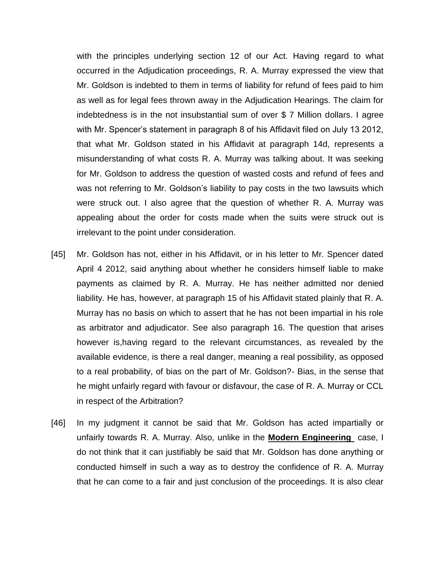with the principles underlying section 12 of our Act. Having regard to what occurred in the Adjudication proceedings, R. A. Murray expressed the view that Mr. Goldson is indebted to them in terms of liability for refund of fees paid to him as well as for legal fees thrown away in the Adjudication Hearings. The claim for indebtedness is in the not insubstantial sum of over \$ 7 Million dollars. I agree with Mr. Spencer's statement in paragraph 8 of his Affidavit filed on July 13 2012, that what Mr. Goldson stated in his Affidavit at paragraph 14d, represents a misunderstanding of what costs R. A. Murray was talking about. It was seeking for Mr. Goldson to address the question of wasted costs and refund of fees and was not referring to Mr. Goldson's liability to pay costs in the two lawsuits which were struck out. I also agree that the question of whether R. A. Murray was appealing about the order for costs made when the suits were struck out is irrelevant to the point under consideration.

- [45] Mr. Goldson has not, either in his Affidavit, or in his letter to Mr. Spencer dated April 4 2012, said anything about whether he considers himself liable to make payments as claimed by R. A. Murray. He has neither admitted nor denied liability. He has, however, at paragraph 15 of his Affidavit stated plainly that R. A. Murray has no basis on which to assert that he has not been impartial in his role as arbitrator and adjudicator. See also paragraph 16. The question that arises however is,having regard to the relevant circumstances, as revealed by the available evidence, is there a real danger, meaning a real possibility, as opposed to a real probability, of bias on the part of Mr. Goldson?- Bias, in the sense that he might unfairly regard with favour or disfavour, the case of R. A. Murray or CCL in respect of the Arbitration?
- [46] In my judgment it cannot be said that Mr. Goldson has acted impartially or unfairly towards R. A. Murray. Also, unlike in the **Modern Engineering** case, I do not think that it can justifiably be said that Mr. Goldson has done anything or conducted himself in such a way as to destroy the confidence of R. A. Murray that he can come to a fair and just conclusion of the proceedings. It is also clear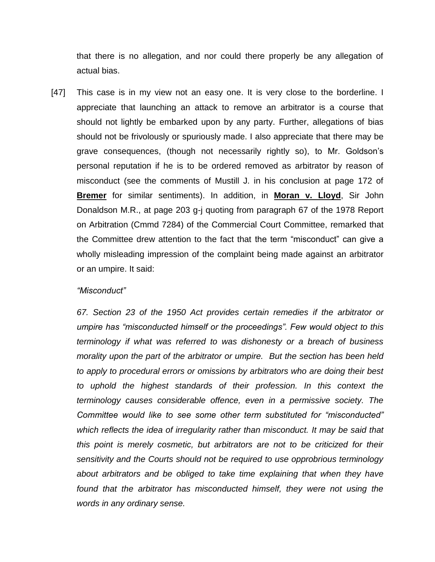that there is no allegation, and nor could there properly be any allegation of actual bias.

[47] This case is in my view not an easy one. It is very close to the borderline. I appreciate that launching an attack to remove an arbitrator is a course that should not lightly be embarked upon by any party. Further, allegations of bias should not be frivolously or spuriously made. I also appreciate that there may be grave consequences, (though not necessarily rightly so), to Mr. Goldson's personal reputation if he is to be ordered removed as arbitrator by reason of misconduct (see the comments of Mustill J. in his conclusion at page 172 of **Bremer** for similar sentiments). In addition, in **Moran v. Lloyd**, Sir John Donaldson M.R., at page 203 g-j quoting from paragraph 67 of the 1978 Report on Arbitration (Cmmd 7284) of the Commercial Court Committee, remarked that the Committee drew attention to the fact that the term "misconduct" can give a wholly misleading impression of the complaint being made against an arbitrator or an umpire. It said:

### *"Misconduct"*

*67. Section 23 of the 1950 Act provides certain remedies if the arbitrator or umpire has "misconducted himself or the proceedings". Few would object to this terminology if what was referred to was dishonesty or a breach of business morality upon the part of the arbitrator or umpire. But the section has been held to apply to procedural errors or omissions by arbitrators who are doing their best*  to uphold the highest standards of their profession. In this context the *terminology causes considerable offence, even in a permissive society. The Committee would like to see some other term substituted for "misconducted" which reflects the idea of irregularity rather than misconduct. It may be said that this point is merely cosmetic, but arbitrators are not to be criticized for their sensitivity and the Courts should not be required to use opprobrious terminology about arbitrators and be obliged to take time explaining that when they have found that the arbitrator has misconducted himself, they were not using the words in any ordinary sense.*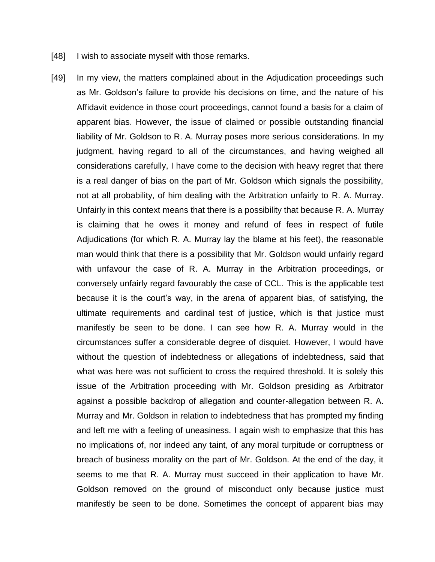- [48] I wish to associate myself with those remarks.
- [49] In my view, the matters complained about in the Adjudication proceedings such as Mr. Goldson's failure to provide his decisions on time, and the nature of his Affidavit evidence in those court proceedings, cannot found a basis for a claim of apparent bias. However, the issue of claimed or possible outstanding financial liability of Mr. Goldson to R. A. Murray poses more serious considerations. In my judgment, having regard to all of the circumstances, and having weighed all considerations carefully, I have come to the decision with heavy regret that there is a real danger of bias on the part of Mr. Goldson which signals the possibility, not at all probability, of him dealing with the Arbitration unfairly to R. A. Murray. Unfairly in this context means that there is a possibility that because R. A. Murray is claiming that he owes it money and refund of fees in respect of futile Adjudications (for which R. A. Murray lay the blame at his feet), the reasonable man would think that there is a possibility that Mr. Goldson would unfairly regard with unfavour the case of R. A. Murray in the Arbitration proceedings, or conversely unfairly regard favourably the case of CCL. This is the applicable test because it is the court's way, in the arena of apparent bias, of satisfying, the ultimate requirements and cardinal test of justice, which is that justice must manifestly be seen to be done. I can see how R. A. Murray would in the circumstances suffer a considerable degree of disquiet. However, I would have without the question of indebtedness or allegations of indebtedness, said that what was here was not sufficient to cross the required threshold. It is solely this issue of the Arbitration proceeding with Mr. Goldson presiding as Arbitrator against a possible backdrop of allegation and counter-allegation between R. A. Murray and Mr. Goldson in relation to indebtedness that has prompted my finding and left me with a feeling of uneasiness. I again wish to emphasize that this has no implications of, nor indeed any taint, of any moral turpitude or corruptness or breach of business morality on the part of Mr. Goldson. At the end of the day, it seems to me that R. A. Murray must succeed in their application to have Mr. Goldson removed on the ground of misconduct only because justice must manifestly be seen to be done. Sometimes the concept of apparent bias may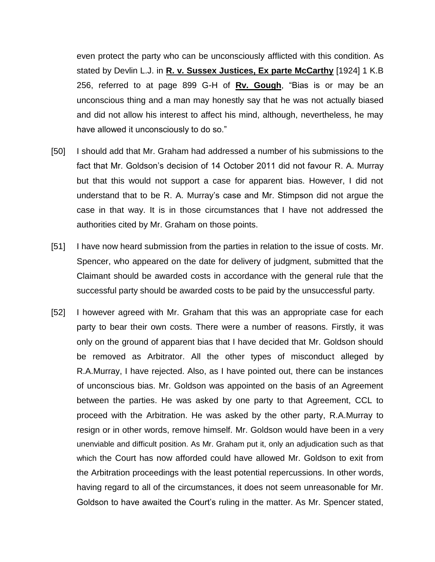even protect the party who can be unconsciously afflicted with this condition. As stated by Devlin L.J. in **R. v. Sussex Justices, Ex parte McCarthy** [1924] 1 K.B 256, referred to at page 899 G-H of **Rv. Gough**, "Bias is or may be an unconscious thing and a man may honestly say that he was not actually biased and did not allow his interest to affect his mind, although, nevertheless, he may have allowed it unconsciously to do so."

- [50] I should add that Mr. Graham had addressed a number of his submissions to the fact that Mr. Goldson's decision of 14 October 2011 did not favour R. A. Murray but that this would not support a case for apparent bias. However, I did not understand that to be R. A. Murray's case and Mr. Stimpson did not argue the case in that way. It is in those circumstances that I have not addressed the authorities cited by Mr. Graham on those points.
- [51] I have now heard submission from the parties in relation to the issue of costs. Mr. Spencer, who appeared on the date for delivery of judgment, submitted that the Claimant should be awarded costs in accordance with the general rule that the successful party should be awarded costs to be paid by the unsuccessful party.
- [52] I however agreed with Mr. Graham that this was an appropriate case for each party to bear their own costs. There were a number of reasons. Firstly, it was only on the ground of apparent bias that I have decided that Mr. Goldson should be removed as Arbitrator. All the other types of misconduct alleged by R.A.Murray, I have rejected. Also, as I have pointed out, there can be instances of unconscious bias. Mr. Goldson was appointed on the basis of an Agreement between the parties. He was asked by one party to that Agreement, CCL to proceed with the Arbitration. He was asked by the other party, R.A.Murray to resign or in other words, remove himself. Mr. Goldson would have been in a very unenviable and difficult position. As Mr. Graham put it, only an adjudication such as that which the Court has now afforded could have allowed Mr. Goldson to exit from the Arbitration proceedings with the least potential repercussions. In other words, having regard to all of the circumstances, it does not seem unreasonable for Mr. Goldson to have awaited the Court's ruling in the matter. As Mr. Spencer stated,